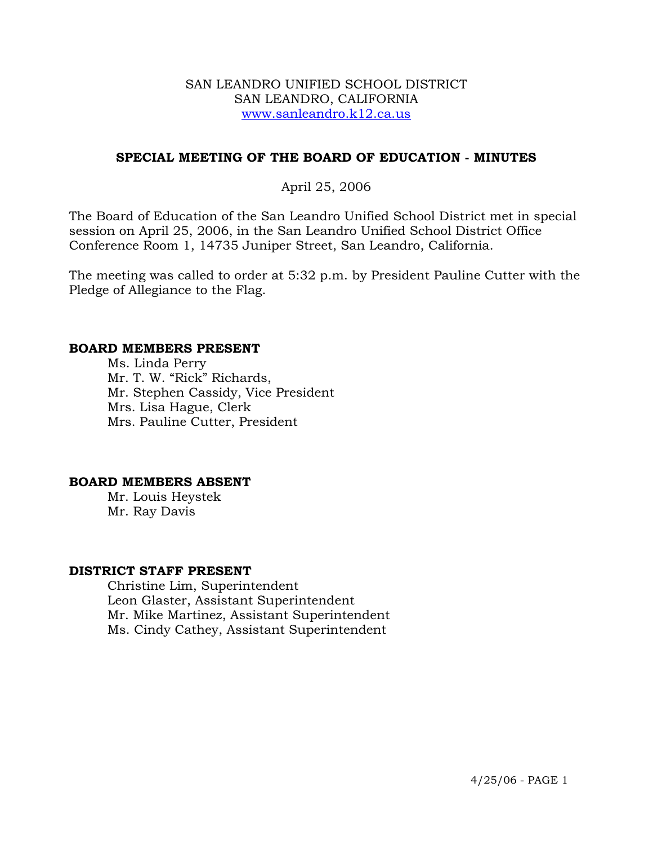#### SAN LEANDRO UNIFIED SCHOOL DISTRICT SAN LEANDRO, CALIFORNIA www.sanleandro.k12.ca.us

## **SPECIAL MEETING OF THE BOARD OF EDUCATION - MINUTES**

## April 25, 2006

The Board of Education of the San Leandro Unified School District met in special session on April 25, 2006, in the San Leandro Unified School District Office Conference Room 1, 14735 Juniper Street, San Leandro, California.

The meeting was called to order at 5:32 p.m. by President Pauline Cutter with the Pledge of Allegiance to the Flag.

#### **BOARD MEMBERS PRESENT**

Ms. Linda Perry Mr. T. W. "Rick" Richards, Mr. Stephen Cassidy, Vice President Mrs. Lisa Hague, Clerk Mrs. Pauline Cutter, President

#### **BOARD MEMBERS ABSENT**

Mr. Louis Heystek Mr. Ray Davis

#### **DISTRICT STAFF PRESENT**

Christine Lim, Superintendent Leon Glaster, Assistant Superintendent Mr. Mike Martinez, Assistant Superintendent Ms. Cindy Cathey, Assistant Superintendent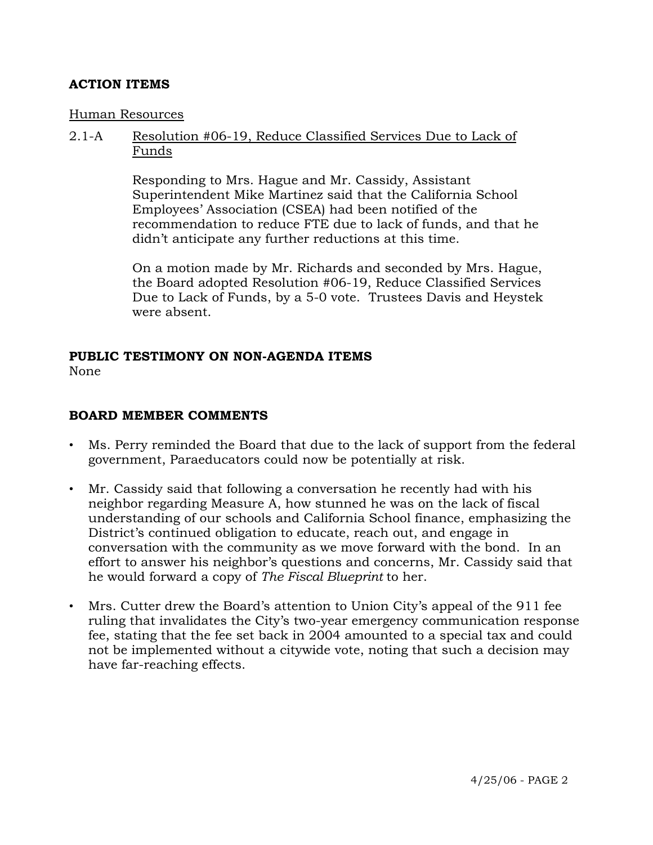## **ACTION ITEMS**

#### Human Resources

### 2.1-A Resolution #06-19, Reduce Classified Services Due to Lack of Funds

Responding to Mrs. Hague and Mr. Cassidy, Assistant Superintendent Mike Martinez said that the California School Employees' Association (CSEA) had been notified of the recommendation to reduce FTE due to lack of funds, and that he didn't anticipate any further reductions at this time.

On a motion made by Mr. Richards and seconded by Mrs. Hague, the Board adopted Resolution #06-19, Reduce Classified Services Due to Lack of Funds, by a 5-0 vote. Trustees Davis and Heystek were absent.

# **PUBLIC TESTIMONY ON NON-AGENDA ITEMS**

None

## **BOARD MEMBER COMMENTS**

- Ms. Perry reminded the Board that due to the lack of support from the federal government, Paraeducators could now be potentially at risk.
- Mr. Cassidy said that following a conversation he recently had with his neighbor regarding Measure A, how stunned he was on the lack of fiscal understanding of our schools and California School finance, emphasizing the District's continued obligation to educate, reach out, and engage in conversation with the community as we move forward with the bond. In an effort to answer his neighbor's questions and concerns, Mr. Cassidy said that he would forward a copy of *The Fiscal Blueprint* to her.
- Mrs. Cutter drew the Board's attention to Union City's appeal of the 911 fee ruling that invalidates the City's two-year emergency communication response fee, stating that the fee set back in 2004 amounted to a special tax and could not be implemented without a citywide vote, noting that such a decision may have far-reaching effects.